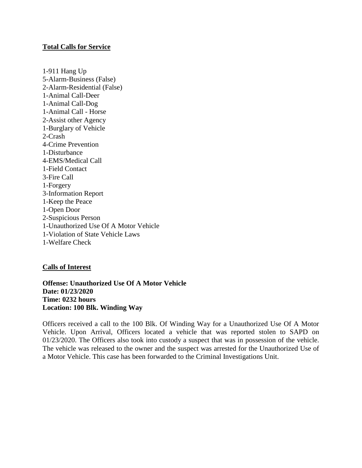## **Total Calls for Service**

1-911 Hang Up 5-Alarm-Business (False) 2-Alarm-Residential (False) 1-Animal Call-Deer 1-Animal Call-Dog 1-Animal Call - Horse 2-Assist other Agency 1-Burglary of Vehicle 2-Crash 4-Crime Prevention 1-Disturbance 4-EMS/Medical Call 1-Field Contact 3-Fire Call 1-Forgery 3-Information Report 1-Keep the Peace 1-Open Door 2-Suspicious Person 1-Unauthorized Use Of A Motor Vehicle 1-Violation of State Vehicle Laws 1-Welfare Check

## **Calls of Interest**

**Offense: Unauthorized Use Of A Motor Vehicle Date: 01/23/2020 Time: 0232 hours Location: 100 Blk. Winding Way**

Officers received a call to the 100 Blk. Of Winding Way for a Unauthorized Use Of A Motor Vehicle. Upon Arrival, Officers located a vehicle that was reported stolen to SAPD on 01/23/2020. The Officers also took into custody a suspect that was in possession of the vehicle. The vehicle was released to the owner and the suspect was arrested for the Unauthorized Use of a Motor Vehicle. This case has been forwarded to the Criminal Investigations Unit.